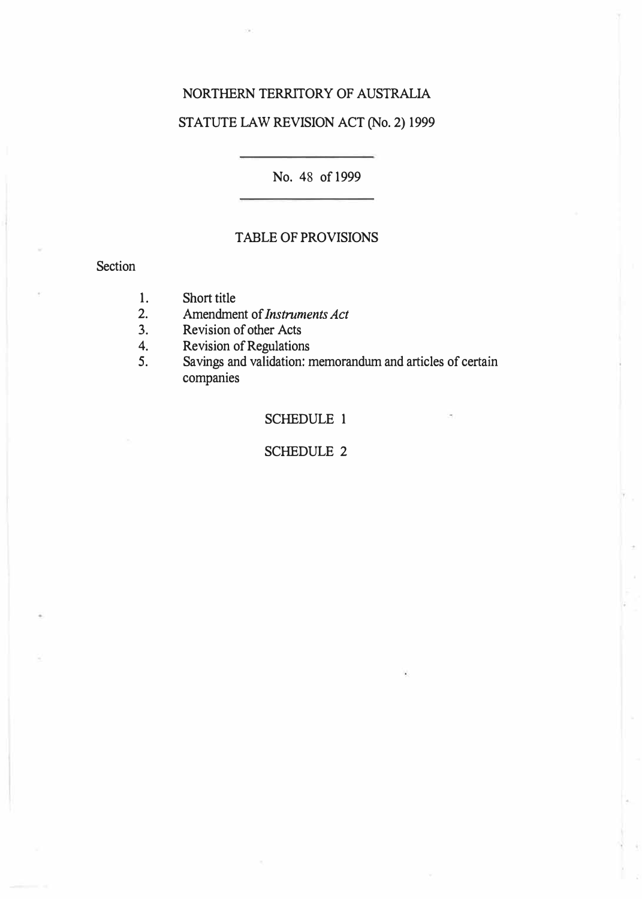# NORTHERN TERRITORY OF AUSTRALIA

# STATUTE LAW REVISION ACT (No. 2) 1999

No. 48 of 1999

# TABLE OF PROVISIONS

## Section

- 1. Short title<br>2. Amendmen
- 2. Amendment of *Instruments Act*<br>3. Revision of other Acts
- 3. Revision of other Acts<br>4. Revision of Regulation
- 4. Revision of Regulations<br>5. Savings and validation: n
- Savings and validation: memorandum and articles of certain companies

# SCHEDULE 1

#### SCHEDULE 2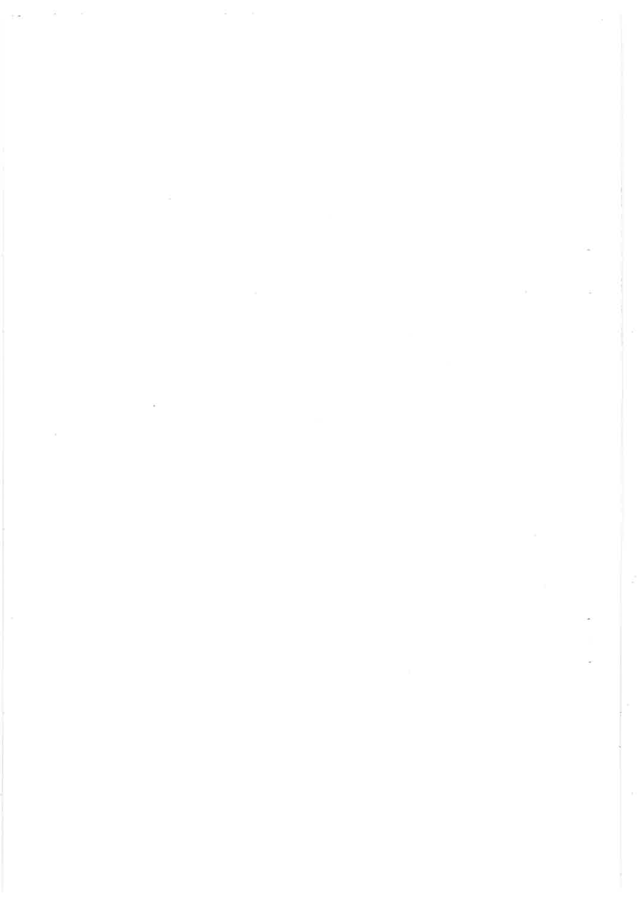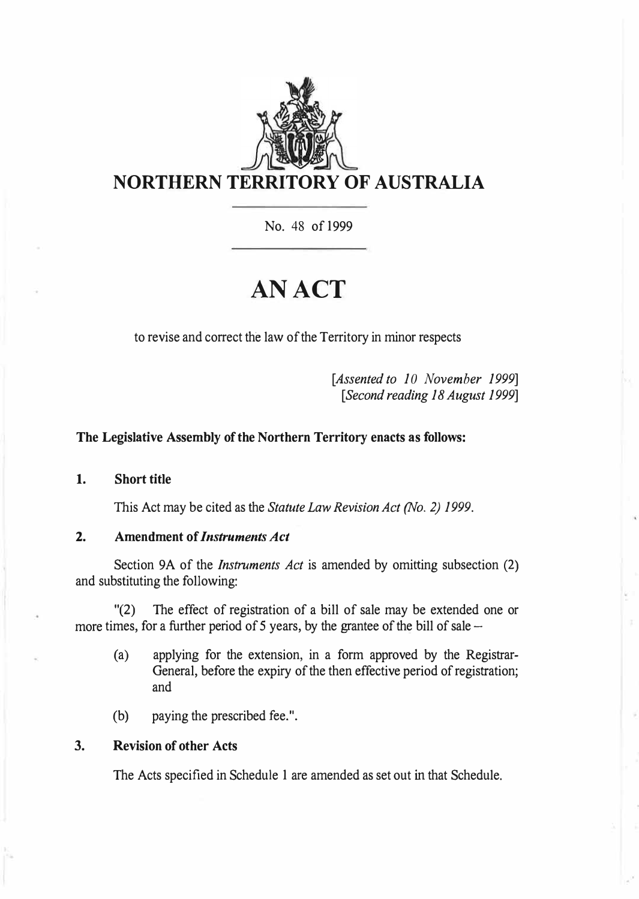

No. 48 of 1999

# **AN ACT**

to revise and correct the law of the Territory in minor respects

*[Assented to 10 November 1999] [Second reading 18 August 1999]* 

### **The Legislative Assembly of the Northern Territory enacts as follows:**

**1. Short title**

This Act may be cited as the *Statute Law Revision Act (No. 2) 1999.*

# **2. Amendment of** *Instruments Act*

Section 9A of the *Instruments Act* is amended by omitting subsection (2) and substituting the following:

"(2) The effect of registration of a bill of sale may be extended one or more times, for a further period of 5 years, by the grantee of the bill of sale  $-$ 

- (a) applying for the extension, in a form approved by the Registrar-General, before the expiry of the then effective period of registration; and
- (b) paying the prescribed fee.".

#### **3. Revision of other Acts**

The Acts specified in Schedule 1 are amended as set out in that Schedule.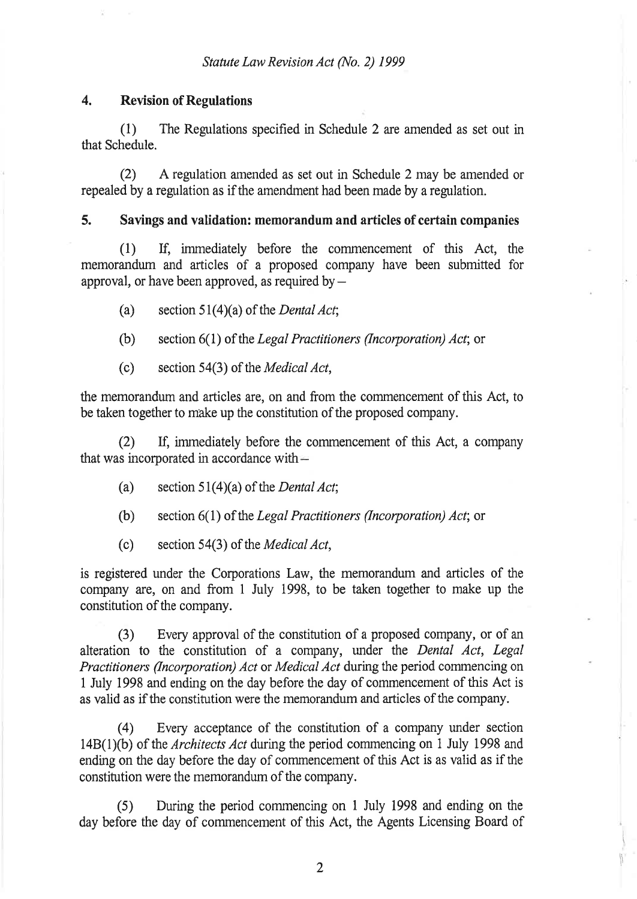#### 4. Revision of Regulations

(1) The Regulations specified in Schedule 2 are amended as set out in that Schedule.

(2) A regulation amended as set out in Schedule 2 may be amended or repealed by a regulation as if the amendment had been made by a regulation.

#### 5. Savings and validation: memorândum and articles of certain companies

(1) If, immediately before the commencement of this Act, the memorandum and articles of a proposed company have been submitted for approval, or have been approved, as required by  $-$ 

(a) section  $51(4)(a)$  of the *Dental Act*;

- (b) section  $6(1)$  of the Legal Practitioners (Incorporation) Act; or
- (c) section 54(3) of the Medical Act,

the memorandum and articles are, on and from the commencement of this Act, to be taken together to make up the constitution of the proposed company.

(2) If, immediately before the commencement of this Act, a company that was incorporated in accordance with $=$ 

- (a) section  $51(4)(a)$  of the *Dental Act*;
- (b) section  $6(1)$  of the Legal Practitioners (Incorporation) Act; or
- (c) section 54(3) of the Medical Act,

is registered under the Corporations Law, the memorandum and articles of the company are, on and from I July 1998, to be taken together to make up the constitution of the company.

(3) Every approval of the constitution of a proposed company, or of an alteration to the constitution of a company, under the Dentøl Act, Legal Practitioners (Incorporation) Act or Medical Act during the period commencing on 1 July 1998 and ending on the day before the day of commencement of this Act is as valid as if the constitution were the memorandum and articles of the company.

(4) Every acceptance of the constitution of a company under section  $14B(1)(b)$  of the *Architects Act* during the period commencing on 1 July 1998 and ending on the day before the day of commencement of this Act is as valid as if the constitution were the memorandum of the company.

(5) During the period commencing on I July 1998 and ending on the day before the day of commencement of this Act, the Agents Licensing Board of

\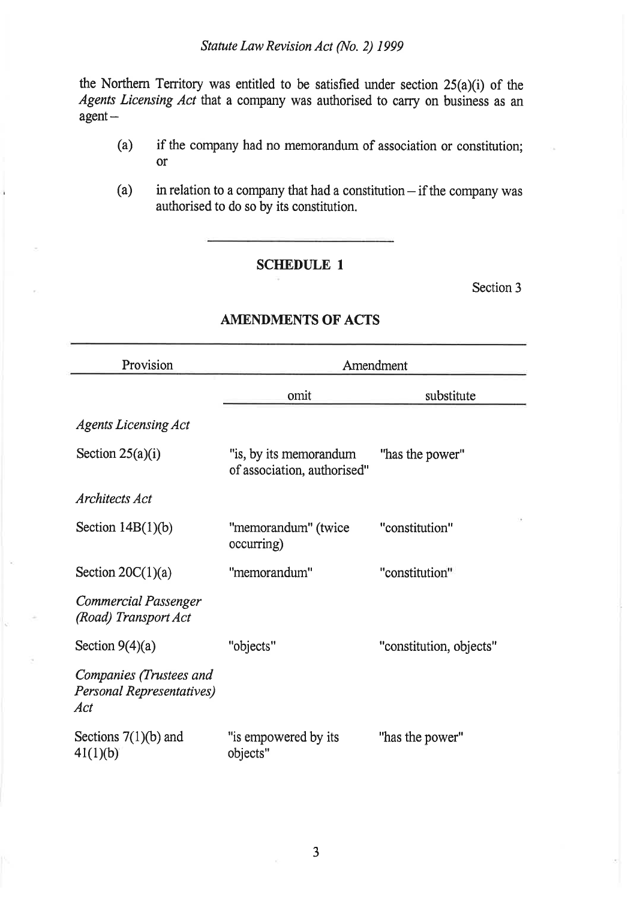the Northern Territory was entitled to be satisfied under section  $25(a)(i)$  of the Agents Licensing Act that a company was authorised to carry on business as an  $agent-$ 

- (a) if the company had no memorandum of association or constitution; or
- (a) in relation to a company that had a constitution  $-$  if the company was authorised to do so by its constitution.

## **SCHEDULE 1**

Section 3

| Provision                                                          | Amendment                                             |                         |
|--------------------------------------------------------------------|-------------------------------------------------------|-------------------------|
|                                                                    | omit                                                  | substitute              |
| <b>Agents Licensing Act</b>                                        |                                                       |                         |
| Section $25(a)(i)$                                                 | "is, by its memorandum<br>of association, authorised" | "has the power"         |
| Architects Act                                                     |                                                       |                         |
| Section $14B(1)(b)$                                                | "memorandum" (twice<br>occurring)                     | "constitution"          |
| Section $20C(1)(a)$                                                | "memorandum"                                          | "constitution"          |
| Commercial Passenger<br>(Road) Transport Act                       |                                                       |                         |
| Section $9(4)(a)$                                                  | "objects"                                             | "constitution, objects" |
| Companies (Trustees and<br><b>Personal Representatives)</b><br>Act |                                                       |                         |
| Sections $7(1)(b)$ and<br>41(1)(b)                                 | "is empowered by its<br>objects"                      | "has the power"         |

## AMENDMENTS OF ACTS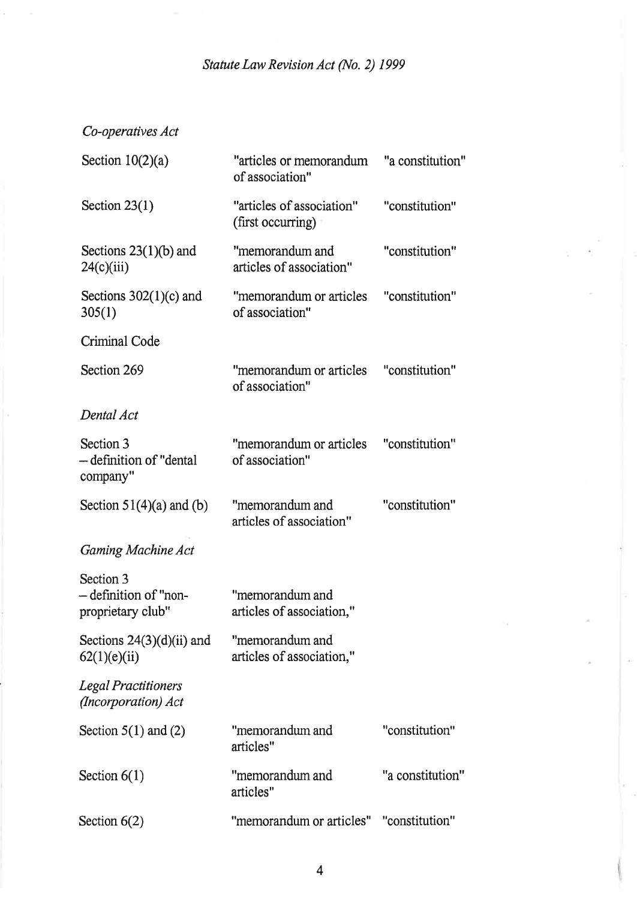Statute Law Revision Act (No. 2) 1999

Co-operatives Act

| Section $10(2)(a)$                                      | "articles or memorandum<br>of association"     | "a constitution" |
|---------------------------------------------------------|------------------------------------------------|------------------|
| Section $23(1)$                                         | "articles of association"<br>(first occurring) | "constitution"   |
| Sections $23(1)(b)$ and<br>24(c)(iii)                   | "memorandum and<br>articles of association"    | "constitution"   |
| Sections $302(1)(c)$ and<br>305(1)                      | "memorandum or articles<br>of association"     | "constitution"   |
| Criminal Code                                           |                                                |                  |
| Section 269                                             | "memorandum or articles<br>of association"     | "constitution"   |
| Dental Act                                              |                                                |                  |
| Section 3<br>- definition of "dental<br>company"        | "memorandum or articles"<br>of association"    | "constitution"   |
| Section $51(4)(a)$ and (b)                              | "memorandum and<br>articles of association"    | "constitution"   |
| Gaming Machine Act                                      |                                                |                  |
| Section 3<br>- definition of "non-<br>proprietary club" | "memorandum and<br>articles of association,"   |                  |
| Sections $24(3)(d)(ii)$ and<br>62(1)(e)(ii)             | "memorandum and<br>articles of association,"   |                  |
| <b>Legal Practitioners</b><br>(Incorporation) Act       |                                                |                  |
| Section $5(1)$ and (2)                                  | "memorandum and<br>articles"                   | "constitution"   |
| Section $6(1)$                                          | "memorandum and<br>articles"                   | "a constitution" |
| Section $6(2)$                                          | "memorandum or articles"                       | "constitution"   |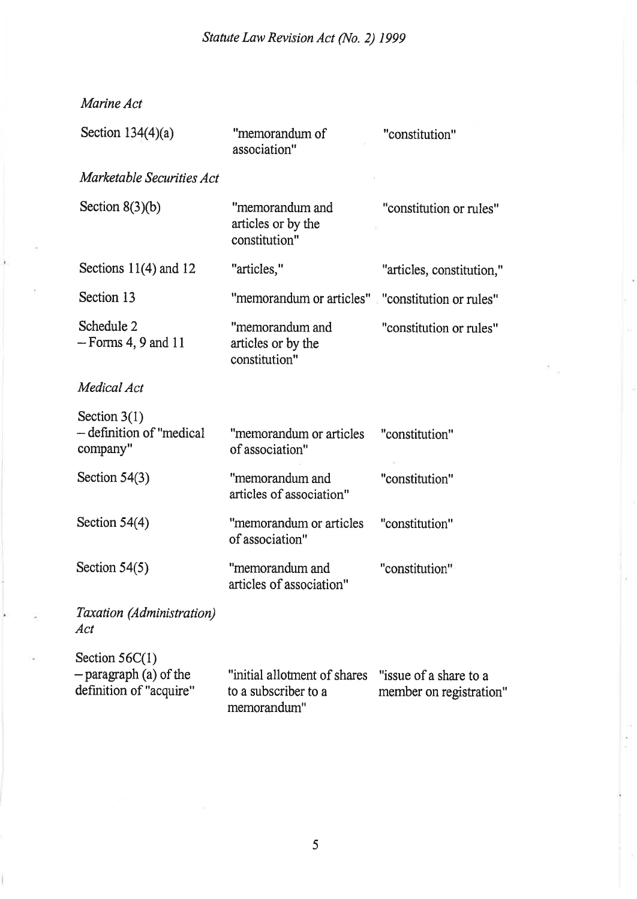| Marine Act                                                              |                                                                     |                                                   |
|-------------------------------------------------------------------------|---------------------------------------------------------------------|---------------------------------------------------|
| Section $134(4)(a)$                                                     | "memorandum of<br>association"                                      | "constitution"                                    |
| Marketable Securities Act                                               |                                                                     |                                                   |
| Section $8(3)(b)$                                                       | "memorandum and<br>articles or by the<br>constitution"              | "constitution or rules"                           |
| Sections $11(4)$ and 12                                                 | "articles,"                                                         | "articles, constitution,"                         |
| Section 13                                                              | "memorandum or articles" vconstitution or rules"                    |                                                   |
| Schedule 2<br>$-$ Forms 4, 9 and 11                                     | "memorandum and<br>articles or by the<br>constitution"              | "constitution or rules"                           |
| Medical Act                                                             |                                                                     |                                                   |
| Section $3(1)$<br>- definition of "medical<br>company"                  | "memorandum or articles<br>of association"                          | "constitution"                                    |
| Section $54(3)$                                                         | "memorandum and<br>articles of association"                         | "constitution"                                    |
| Section $54(4)$                                                         | "memorandum or articles<br>of association"                          | "constitution"                                    |
| Section $54(5)$                                                         | "memorandum and<br>articles of association"                         | "constitution"                                    |
| Taxation (Administration)<br>Act                                        |                                                                     |                                                   |
| Section $56C(1)$<br>$-$ paragraph (a) of the<br>definition of "acquire" | "initial allotment of shares<br>to a subscriber to a<br>memorandum" | "issue of a share to a<br>member on registration" |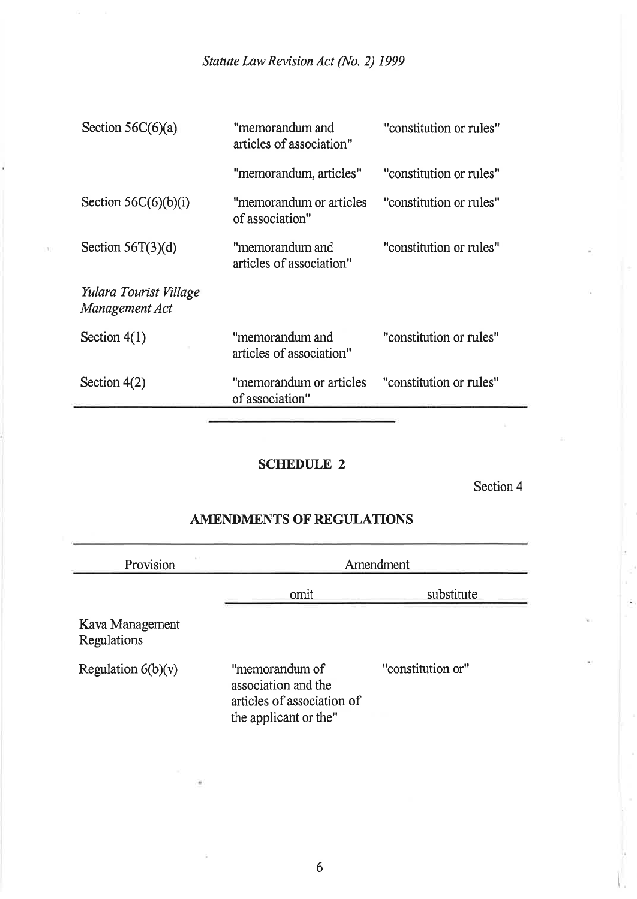Statute Law Revision Act (No. 2) 1999

| "memorandum and<br>articles of association" | "constitution or rules" |
|---------------------------------------------|-------------------------|
| "memorandum, articles"                      | "constitution or rules" |
| "memorandum or articles<br>of association"  | "constitution or rules" |
| "memorandum and<br>articles of association" | "constitution or rules" |
|                                             |                         |
| "memorandum and<br>articles of association" | "constitution or rules" |
| "memorandum or articles<br>of association"  | "constitution or rules" |
|                                             |                         |

# SCHEDULE 2

Section 4

# AMENDMENTS OF REGULATIONS

| Provision                      | Amendment                                                                                    |                   |
|--------------------------------|----------------------------------------------------------------------------------------------|-------------------|
|                                | omit                                                                                         | substitute        |
| Kava Management<br>Regulations |                                                                                              |                   |
| Regulation $6(b)(v)$           | "memorandum of<br>association and the<br>articles of association of<br>the applicant or the" | "constitution or" |